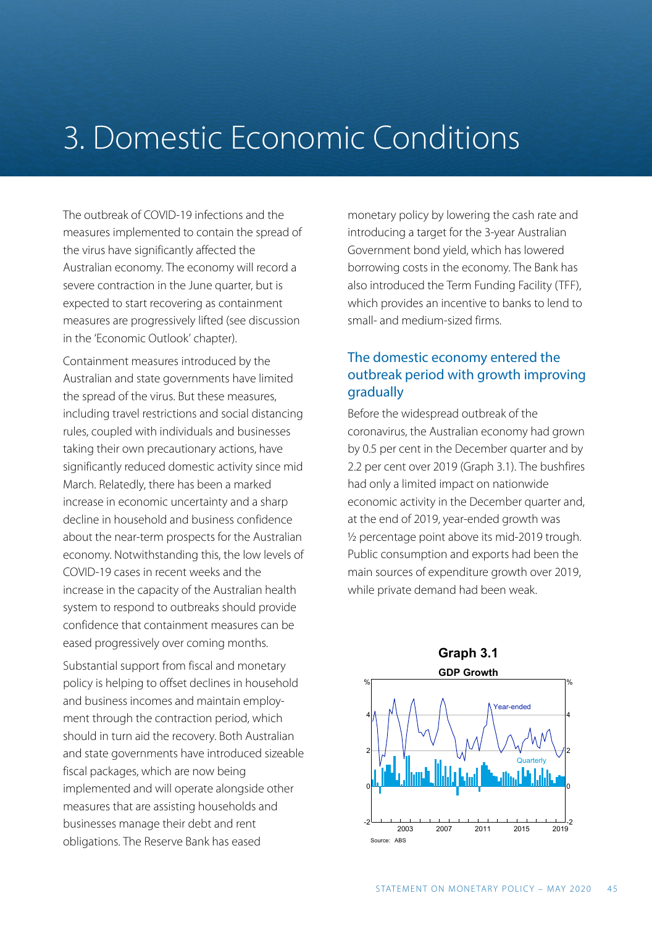# 3. Domestic Economic Conditions

The outbreak of COVID-19 infections and the measures implemented to contain the spread of the virus have significantly affected the Australian economy. The economy will record a severe contraction in the June quarter, but is expected to start recovering as containment measures are progressively lifted (see discussion in the 'Economic Outlook' chapter).

Containment measures introduced by the Australian and state governments have limited the spread of the virus. But these measures, including travel restrictions and social distancing rules, coupled with individuals and businesses taking their own precautionary actions, have significantly reduced domestic activity since mid March. Relatedly, there has been a marked increase in economic uncertainty and a sharp decline in household and business confidence about the near-term prospects for the Australian economy. Notwithstanding this, the low levels of COVID-19 cases in recent weeks and the increase in the capacity of the Australian health system to respond to outbreaks should provide confidence that containment measures can be eased progressively over coming months.

Substantial support from fiscal and monetary policy is helping to offset declines in household and business incomes and maintain employment through the contraction period, which should in turn aid the recovery. Both Australian and state governments have introduced sizeable fiscal packages, which are now being implemented and will operate alongside other measures that are assisting households and businesses manage their debt and rent obligations. The Reserve Bank has eased

monetary policy by lowering the cash rate and introducing a target for the 3-year Australian Government bond yield, which has lowered borrowing costs in the economy. The Bank has also introduced the Term Funding Facility (TFF), which provides an incentive to banks to lend to small- and medium-sized firms.

# The domestic economy entered the outbreak period with growth improving gradually

Before the widespread outbreak of the coronavirus, the Australian economy had grown by 0.5 per cent in the December quarter and by 2.2 per cent over 2019 (Graph 3.1). The bushfires had only a limited impact on nationwide economic activity in the December quarter and, at the end of 2019, year-ended growth was ½ percentage point above its mid-2019 trough. Public consumption and exports had been the main sources of expenditure growth over 2019, while private demand had been weak.

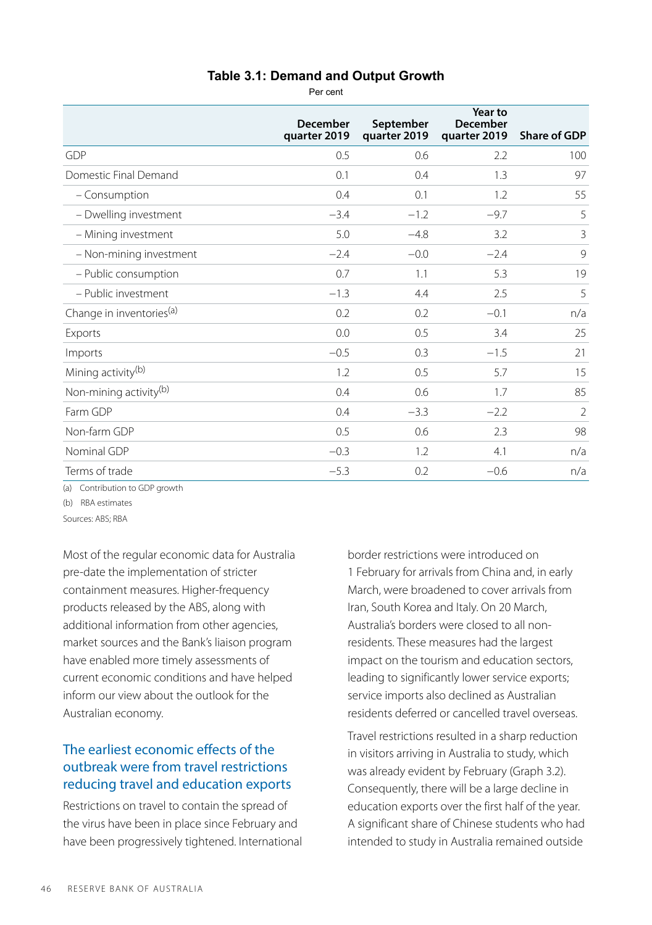#### **Table 3.1: Demand and Output Growth**

Per cent

|                                      | December<br>quarter 2019 | September<br>quarter 2019 | Year to<br><b>December</b><br>quarter 2019 | <b>Share of GDP</b> |
|--------------------------------------|--------------------------|---------------------------|--------------------------------------------|---------------------|
| GDP                                  | 0.5                      | 0.6                       | 2.2                                        | 100                 |
| Domestic Final Demand                | 0.1                      | 0.4                       | 1.3                                        | 97                  |
| - Consumption                        | 0.4                      | 0.1                       | 1.2                                        | 55                  |
| - Dwelling investment                | $-3.4$                   | $-1.2$                    | $-9.7$                                     | 5                   |
| - Mining investment                  | 5.0                      | $-4.8$                    | 3.2                                        | 3                   |
| - Non-mining investment              | $-2.4$                   | $-0.0$                    | $-2.4$                                     | 9                   |
| - Public consumption                 | 0.7                      | 1.1                       | 5.3                                        | 19                  |
| - Public investment                  | $-1.3$                   | 4.4                       | 2.5                                        | 5                   |
| Change in inventories <sup>(a)</sup> | 0.2                      | 0.2                       | $-0.1$                                     | n/a                 |
| Exports                              | 0.0                      | 0.5                       | 3.4                                        | 25                  |
| Imports                              | $-0.5$                   | 0.3                       | $-1.5$                                     | 21                  |
| Mining activity <sup>(b)</sup>       | 1.2                      | 0.5                       | 5.7                                        | 15                  |
| Non-mining activity <sup>(b)</sup>   | 0.4                      | 0.6                       | 1.7                                        | 85                  |
| Farm GDP                             | 0.4                      | $-3.3$                    | $-2.2$                                     | $\overline{2}$      |
| Non-farm GDP                         | 0.5                      | 0.6                       | 2.3                                        | 98                  |
| Nominal GDP                          | $-0.3$                   | 1.2                       | 4.1                                        | n/a                 |
| Terms of trade                       | $-5.3$                   | 0.2                       | $-0.6$                                     | n/a                 |

(a) Contribution to GDP growth

(b) RBA estimates

Sources: ABS; RBA

Most of the regular economic data for Australia pre-date the implementation of stricter containment measures. Higher-frequency products released by the ABS, along with additional information from other agencies, market sources and the Bank's liaison program have enabled more timely assessments of current economic conditions and have helped inform our view about the outlook for the Australian economy.

# The earliest economic effects of the outbreak were from travel restrictions reducing travel and education exports

Restrictions on travel to contain the spread of the virus have been in place since February and have been progressively tightened. International border restrictions were introduced on 1 February for arrivals from China and, in early March, were broadened to cover arrivals from Iran, South Korea and Italy. On 20 March, Australia's borders were closed to all nonresidents. These measures had the largest impact on the tourism and education sectors, leading to significantly lower service exports; service imports also declined as Australian residents deferred or cancelled travel overseas.

Travel restrictions resulted in a sharp reduction in visitors arriving in Australia to study, which was already evident by February (Graph 3.2). Consequently, there will be a large decline in education exports over the first half of the year. A significant share of Chinese students who had intended to study in Australia remained outside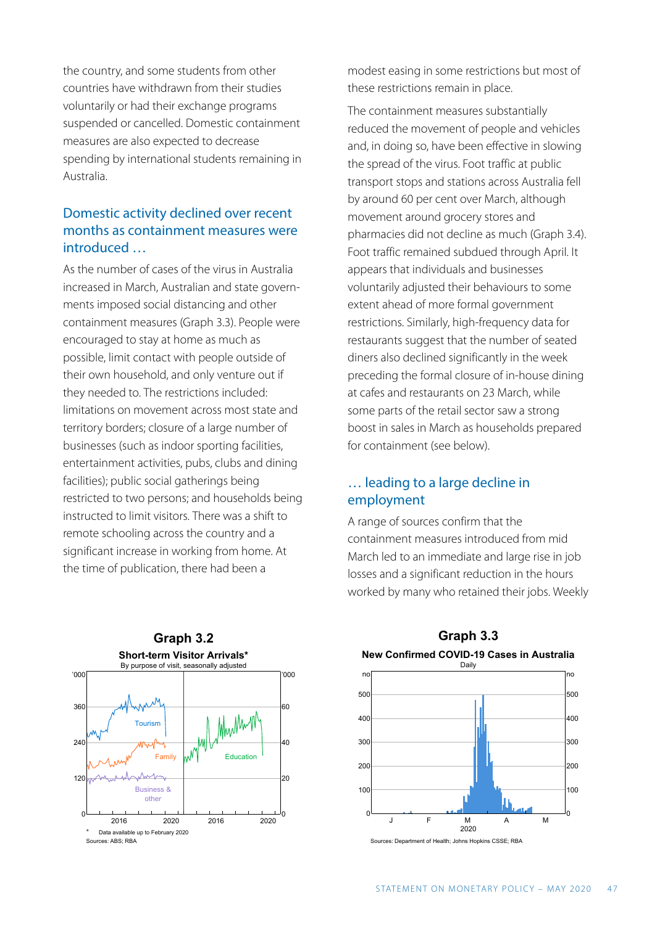the country, and some students from other countries have withdrawn from their studies voluntarily or had their exchange programs suspended or cancelled. Domestic containment measures are also expected to decrease spending by international students remaining in Australia.

## Domestic activity declined over recent months as containment measures were introduced …

As the number of cases of the virus in Australia increased in March, Australian and state governments imposed social distancing and other containment measures (Graph 3.3). People were encouraged to stay at home as much as possible, limit contact with people outside of their own household, and only venture out if they needed to. The restrictions included: limitations on movement across most state and territory borders; closure of a large number of businesses (such as indoor sporting facilities, entertainment activities, pubs, clubs and dining facilities); public social gatherings being restricted to two persons; and households being instructed to limit visitors. There was a shift to remote schooling across the country and a significant increase in working from home. At the time of publication, there had been a

**Graph 3.2 Short-term Visitor Arrivals\*** By purpose of visit, seasonally adjusted '000 '000 360 60 Whithway **Tourism** 240 40 Education Family

2016 2020

0

20

2016 2020

Data available up to February 2020

Business & other

0

Sources: ABS; BBA

120

modest easing in some restrictions but most of these restrictions remain in place.

The containment measures substantially reduced the movement of people and vehicles and, in doing so, have been effective in slowing the spread of the virus. Foot traffic at public transport stops and stations across Australia fell by around 60 per cent over March, although movement around grocery stores and pharmacies did not decline as much (Graph 3.4). Foot traffic remained subdued through April. It appears that individuals and businesses voluntarily adjusted their behaviours to some extent ahead of more formal government restrictions. Similarly, high-frequency data for restaurants suggest that the number of seated diners also declined significantly in the week preceding the formal closure of in-house dining at cafes and restaurants on 23 March, while some parts of the retail sector saw a strong boost in sales in March as households prepared for containment (see below).

### … leading to a large decline in employment

A range of sources confirm that the containment measures introduced from mid March led to an immediate and large rise in job losses and a significant reduction in the hours worked by many who retained their jobs. Weekly



**Graph 3.3** 

urces: Department of Health; Johns Hopkins CSSE; RBA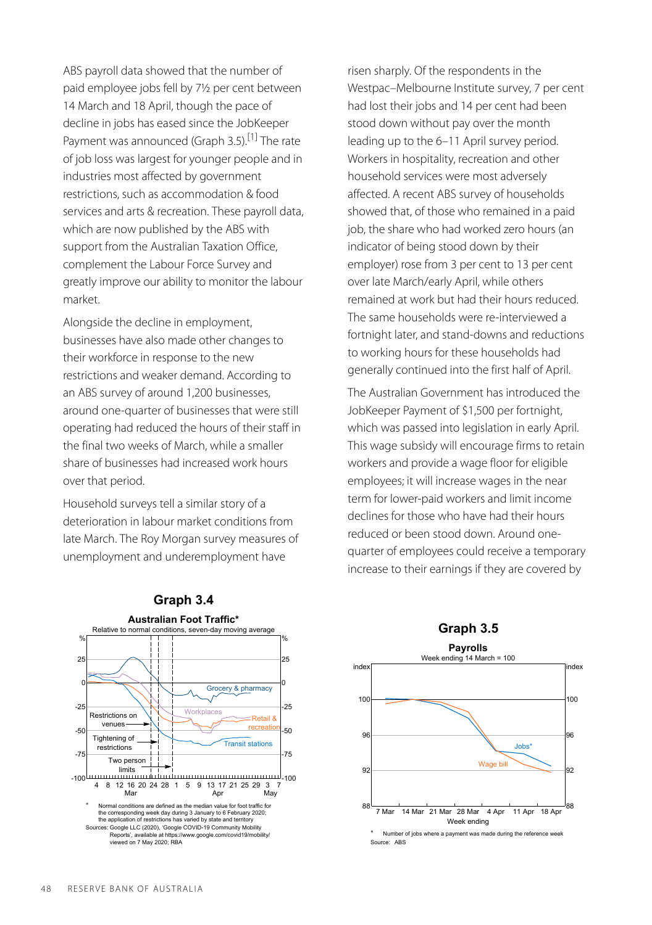ABS payroll data showed that the number of paid employee jobs fell by 7½ per cent between 14 March and 18 April, though the pace of decline in jobs has eased since the JobKeeper Payment was announced (Graph 3.5).<sup>[1]</sup> The rate of job loss was largest for younger people and in industries most affected by government restrictions, such as accommodation & food services and arts & recreation. These payroll data, which are now published by the ABS with support from the Australian Taxation Office, complement the Labour Force Survey and greatly improve our ability to monitor the labour market.

Alongside the decline in employment, businesses have also made other changes to their workforce in response to the new restrictions and weaker demand. According to an ABS survey of around 1,200 businesses, around one-quarter of businesses that were still operating had reduced the hours of their staff in the final two weeks of March, while a smaller share of businesses had increased work hours over that period.

Household surveys tell a similar story of a deterioration in labour market conditions from late March. The Roy Morgan survey measures of unemployment and underemployment have

risen sharply. Of the respondents in the Westpac–Melbourne Institute survey, 7 per cent had lost their jobs and 14 per cent had been stood down without pay over the month leading up to the 6–11 April survey period. Workers in hospitality, recreation and other household services were most adversely affected. A recent ABS survey of households showed that, of those who remained in a paid job, the share who had worked zero hours (an indicator of being stood down by their employer) rose from 3 per cent to 13 per cent over late March/early April, while others remained at work but had their hours reduced. The same households were re-interviewed a fortnight later, and stand-downs and reductions to working hours for these households had generally continued into the first half of April.

The Australian Government has introduced the JobKeeper Payment of \$1,500 per fortnight, which was passed into legislation in early April. This wage subsidy will encourage firms to retain workers and provide a wage floor for eligible employees; it will increase wages in the near term for lower-paid workers and limit income declines for those who have had their hours reduced or been stood down. Around onequarter of employees could receive a temporary increase to their earnings if they are covered by



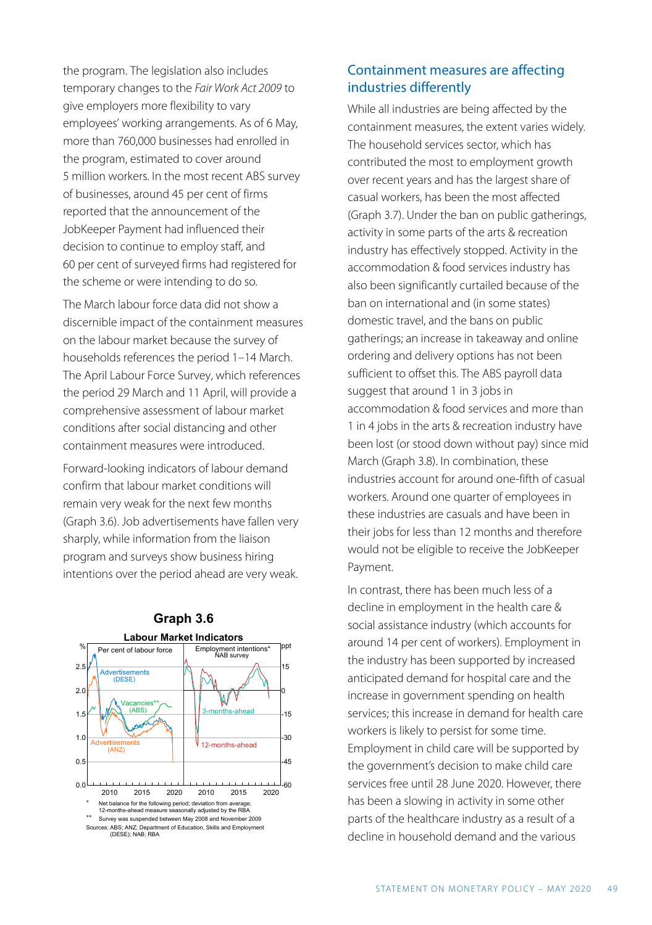the program. The legislation also includes temporary changes to the *Fair Work Act 2009* to give employers more flexibility to vary employees' working arrangements. As of 6 May, more than 760,000 businesses had enrolled in the program, estimated to cover around 5 million workers. In the most recent ABS survey of businesses, around 45 per cent of firms reported that the announcement of the JobKeeper Payment had influenced their decision to continue to employ staff, and 60 per cent of surveyed firms had registered for the scheme or were intending to do so.

The March labour force data did not show a discernible impact of the containment measures on the labour market because the survey of households references the period 1–14 March. The April Labour Force Survey, which references the period 29 March and 11 April, will provide a comprehensive assessment of labour market conditions after social distancing and other containment measures were introduced.

Forward-looking indicators of labour demand confirm that labour market conditions will remain very weak for the next few months (Graph 3.6). Job advertisements have fallen very sharply, while information from the liaison program and surveys show business hiring intentions over the period ahead are very weak.





## Containment measures are affecting industries differently

While all industries are being affected by the containment measures, the extent varies widely. The household services sector, which has contributed the most to employment growth over recent years and has the largest share of casual workers, has been the most affected (Graph 3.7). Under the ban on public gatherings, activity in some parts of the arts & recreation industry has effectively stopped. Activity in the accommodation & food services industry has also been significantly curtailed because of the ban on international and (in some states) domestic travel, and the bans on public gatherings; an increase in takeaway and online ordering and delivery options has not been sufficient to offset this. The ABS payroll data suggest that around 1 in 3 jobs in accommodation & food services and more than 1 in 4 jobs in the arts & recreation industry have been lost (or stood down without pay) since mid March (Graph 3.8). In combination, these industries account for around one-fifth of casual workers. Around one quarter of employees in these industries are casuals and have been in their jobs for less than 12 months and therefore would not be eligible to receive the JobKeeper Payment.

In contrast, there has been much less of a decline in employment in the health care & social assistance industry (which accounts for around 14 per cent of workers). Employment in the industry has been supported by increased anticipated demand for hospital care and the increase in government spending on health services; this increase in demand for health care workers is likely to persist for some time. Employment in child care will be supported by the government's decision to make child care services free until 28 June 2020. However, there has been a slowing in activity in some other parts of the healthcare industry as a result of a decline in household demand and the various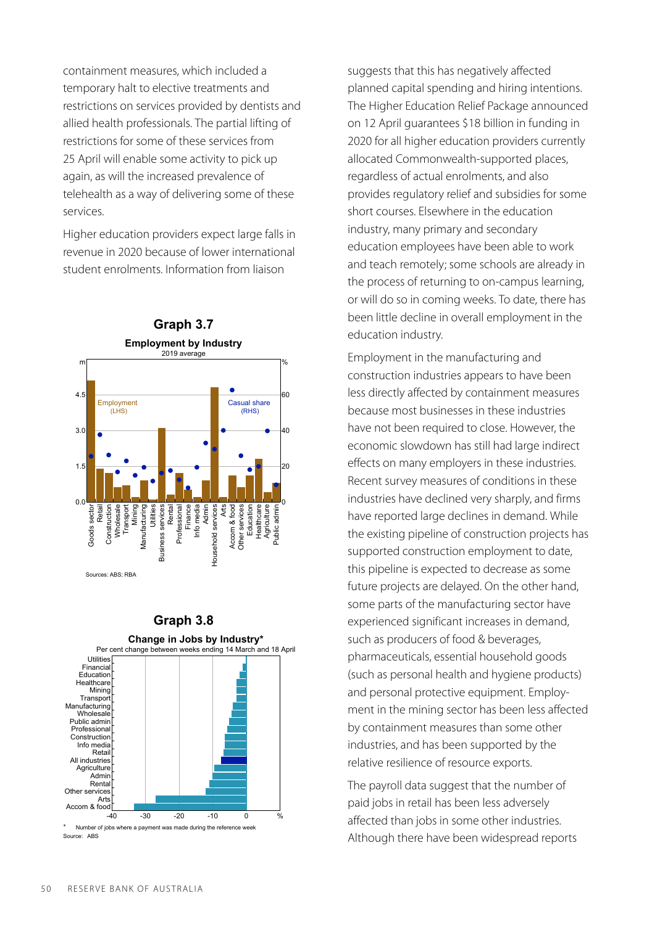containment measures, which included a temporary halt to elective treatments and restrictions on services provided by dentists and allied health professionals. The partial lifting of restrictions for some of these services from 25 April will enable some activity to pick up again, as will the increased prevalence of telehealth as a way of delivering some of these services.

Higher education providers expect large falls in revenue in 2020 because of lower international student enrolments. Information from liaison



#### **Graph 3.8**



suggests that this has negatively affected planned capital spending and hiring intentions. The Higher Education Relief Package announced on 12 April guarantees \$18 billion in funding in 2020 for all higher education providers currently allocated Commonwealth-supported places, regardless of actual enrolments, and also provides regulatory relief and subsidies for some short courses. Elsewhere in the education industry, many primary and secondary education employees have been able to work and teach remotely; some schools are already in the process of returning to on-campus learning, or will do so in coming weeks. To date, there has been little decline in overall employment in the education industry.

Employment in the manufacturing and construction industries appears to have been less directly affected by containment measures because most businesses in these industries have not been required to close. However, the economic slowdown has still had large indirect effects on many employers in these industries. Recent survey measures of conditions in these industries have declined very sharply, and firms have reported large declines in demand. While the existing pipeline of construction projects has supported construction employment to date, this pipeline is expected to decrease as some future projects are delayed. On the other hand, some parts of the manufacturing sector have experienced significant increases in demand, such as producers of food & beverages, pharmaceuticals, essential household goods (such as personal health and hygiene products) and personal protective equipment. Employment in the mining sector has been less affected by containment measures than some other industries, and has been supported by the relative resilience of resource exports.

The payroll data suggest that the number of paid jobs in retail has been less adversely affected than jobs in some other industries. Although there have been widespread reports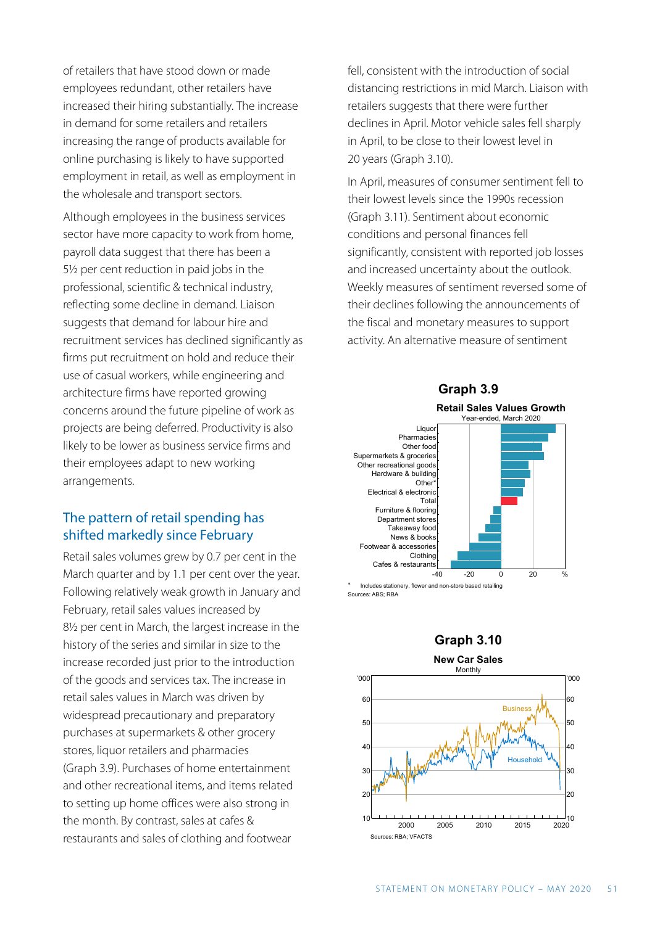of retailers that have stood down or made employees redundant, other retailers have increased their hiring substantially. The increase in demand for some retailers and retailers increasing the range of products available for online purchasing is likely to have supported employment in retail, as well as employment in the wholesale and transport sectors.

Although employees in the business services sector have more capacity to work from home, payroll data suggest that there has been a 5½ per cent reduction in paid jobs in the professional, scientific & technical industry, reflecting some decline in demand. Liaison suggests that demand for labour hire and recruitment services has declined significantly as firms put recruitment on hold and reduce their use of casual workers, while engineering and architecture firms have reported growing concerns around the future pipeline of work as projects are being deferred. Productivity is also likely to be lower as business service firms and their employees adapt to new working arrangements.

## The pattern of retail spending has shifted markedly since February

Retail sales volumes grew by 0.7 per cent in the March quarter and by 1.1 per cent over the year. Following relatively weak growth in January and February, retail sales values increased by 8½ per cent in March, the largest increase in the history of the series and similar in size to the increase recorded just prior to the introduction of the goods and services tax. The increase in retail sales values in March was driven by widespread precautionary and preparatory purchases at supermarkets & other grocery stores, liquor retailers and pharmacies (Graph 3.9). Purchases of home entertainment and other recreational items, and items related to setting up home offices were also strong in the month. By contrast, sales at cafes & restaurants and sales of clothing and footwear

fell, consistent with the introduction of social distancing restrictions in mid March. Liaison with retailers suggests that there were further declines in April. Motor vehicle sales fell sharply in April, to be close to their lowest level in 20 years (Graph 3.10).

In April, measures of consumer sentiment fell to their lowest levels since the 1990s recession (Graph 3.11). Sentiment about economic conditions and personal finances fell significantly, consistent with reported job losses and increased uncertainty about the outlook. Weekly measures of sentiment reversed some of their declines following the announcements of the fiscal and monetary measures to support activity. An alternative measure of sentiment

#### **Graph 3.9**



Includes stationery, flower and non-store based retail Irces: ABS; RBA



**New Car Sales**

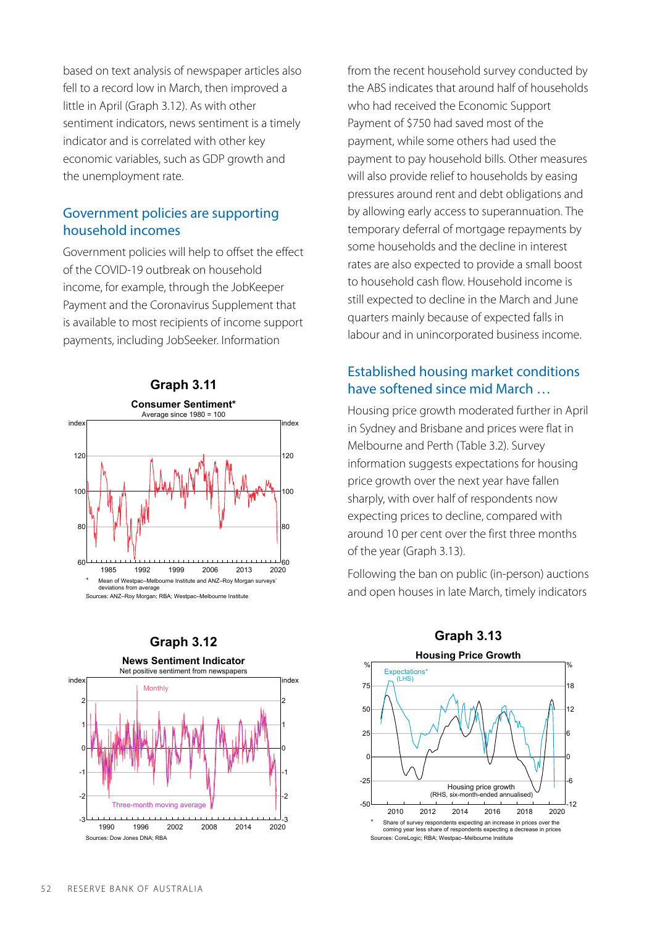based on text analysis of newspaper articles also fell to a record low in March, then improved a little in April (Graph 3.12). As with other sentiment indicators, news sentiment is a timely indicator and is correlated with other key economic variables, such as GDP growth and the unemployment rate.

### Government policies are supporting household incomes

Government policies will help to offset the effect of the COVID-19 outbreak on household income, for example, through the JobKeeper Payment and the Coronavirus Supplement that is available to most recipients of income support payments, including JobSeeker. Information





from the recent household survey conducted by the ABS indicates that around half of households who had received the Economic Support Payment of \$750 had saved most of the payment, while some others had used the payment to pay household bills. Other measures will also provide relief to households by easing pressures around rent and debt obligations and by allowing early access to superannuation. The temporary deferral of mortgage repayments by some households and the decline in interest rates are also expected to provide a small boost to household cash flow. Household income is still expected to decline in the March and June quarters mainly because of expected falls in labour and in unincorporated business income.

## Established housing market conditions have softened since mid March …

Housing price growth moderated further in April in Sydney and Brisbane and prices were flat in Melbourne and Perth (Table 3.2). Survey information suggests expectations for housing price growth over the next year have fallen sharply, with over half of respondents now expecting prices to decline, compared with around 10 per cent over the first three months of the year (Graph 3.13).

Following the ban on public (in-person) auctions and open houses in late March, timely indicators

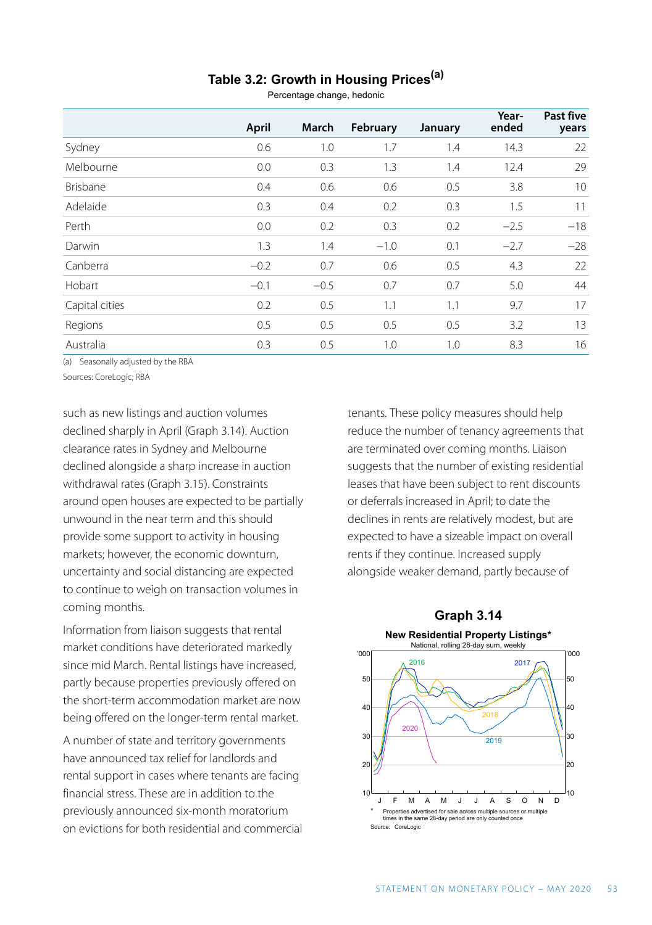# **Table 3.2: Growth in Housing Prices(a)**

Percentage change, hedonic

|                | April  | March  | February | January | Year-<br>ended | Past five<br>years |
|----------------|--------|--------|----------|---------|----------------|--------------------|
| Sydney         | 0.6    | 1.0    | 1.7      | 1.4     | 14.3           | 22                 |
| Melbourne      | 0.0    | 0.3    | 1.3      | 1.4     | 12.4           | 29                 |
| Brisbane       | 0.4    | 0.6    | 0.6      | 0.5     | 3.8            | 10                 |
| Adelaide       | 0.3    | 0.4    | 0.2      | 0.3     | 1.5            | 11                 |
| Perth          | 0.0    | 0.2    | 0.3      | 0.2     | $-2.5$         | $-18$              |
| Darwin         | 1.3    | 1.4    | $-1.0$   | 0.1     | $-2.7$         | $-28$              |
| Canberra       | $-0.2$ | 0.7    | 0.6      | 0.5     | 4.3            | 22                 |
| Hobart         | $-0.1$ | $-0.5$ | 0.7      | 0.7     | 5.0            | 44                 |
| Capital cities | 0.2    | 0.5    | 1.1      | 1.1     | 9.7            | 17                 |
| Regions        | 0.5    | 0.5    | 0.5      | 0.5     | 3.2            | 13                 |
| Australia      | 0.3    | 0.5    | 1.0      | 1.0     | 8.3            | 16                 |

(a) Seasonally adjusted by the RBA

Sources: CoreLogic; RBA

such as new listings and auction volumes declined sharply in April (Graph 3.14). Auction clearance rates in Sydney and Melbourne declined alongside a sharp increase in auction withdrawal rates (Graph 3.15). Constraints around open houses are expected to be partially unwound in the near term and this should provide some support to activity in housing markets; however, the economic downturn, uncertainty and social distancing are expected to continue to weigh on transaction volumes in coming months.

Information from liaison suggests that rental market conditions have deteriorated markedly since mid March. Rental listings have increased, partly because properties previously offered on the short-term accommodation market are now being offered on the longer-term rental market.

A number of state and territory governments have announced tax relief for landlords and rental support in cases where tenants are facing financial stress. These are in addition to the previously announced six-month moratorium on evictions for both residential and commercial tenants. These policy measures should help reduce the number of tenancy agreements that are terminated over coming months. Liaison suggests that the number of existing residential leases that have been subject to rent discounts or deferrals increased in April; to date the declines in rents are relatively modest, but are expected to have a sizeable impact on overall rents if they continue. Increased supply alongside weaker demand, partly because of

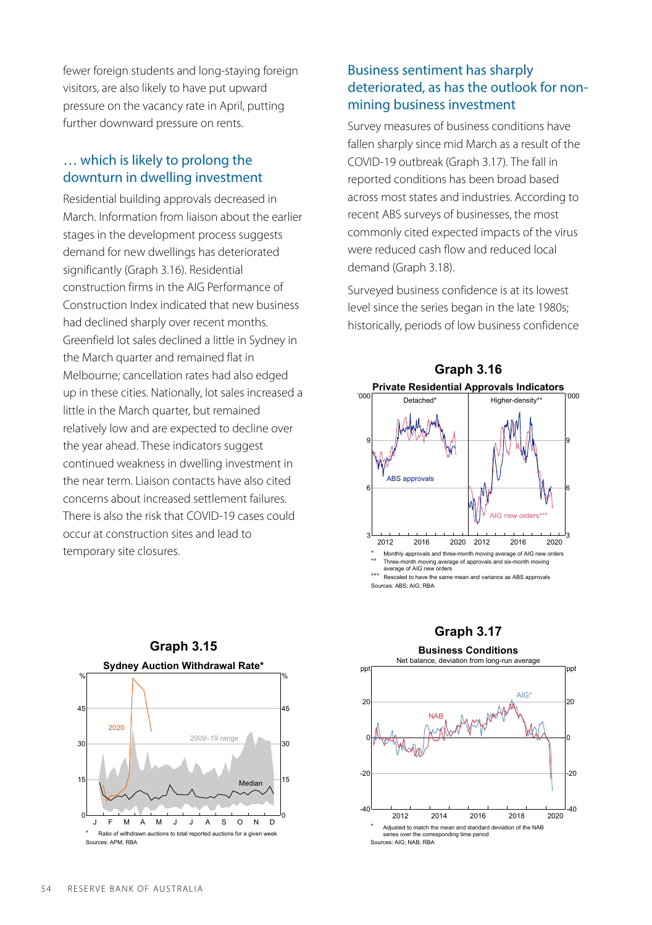fewer foreign students and long-staying foreign visitors, are also likely to have put upward pressure on the vacancy rate in April, putting further downward pressure on rents.

#### … which is likely to prolong the downturn in dwelling investment

Residential building approvals decreased in March. Information from liaison about the earlier stages in the development process suggests demand for new dwellings has deteriorated significantly (Graph 3.16). Residential construction firms in the AIG Performance of Construction Index indicated that new business had declined sharply over recent months. Greenfield lot sales declined a little in Sydney in the March quarter and remained flat in Melbourne; cancellation rates had also edged up in these cities. Nationally, lot sales increased a little in the March quarter, but remained relatively low and are expected to decline over the year ahead. These indicators suggest continued weakness in dwelling investment in the near term. Liaison contacts have also cited concerns about increased settlement failures. There is also the risk that COVID-19 cases could occur at construction sites and lead to temporary site closures.

## Business sentiment has sharply deteriorated, as has the outlook for nonmining business investment

Survey measures of business conditions have fallen sharply since mid March as a result of the COVID-19 outbreak (Graph 3.17). The fall in reported conditions has been broad based across most states and industries. According to recent ABS surveys of businesses, the most commonly cited expected impacts of the virus were reduced cash flow and reduced local demand (Graph 3.18).

Surveyed business confidence is at its lowest level since the series began in the late 1980s; historically, periods of low business confidence



Sources: ABS; AIG; RBA



# **Graph 3.17 Business Conditions**

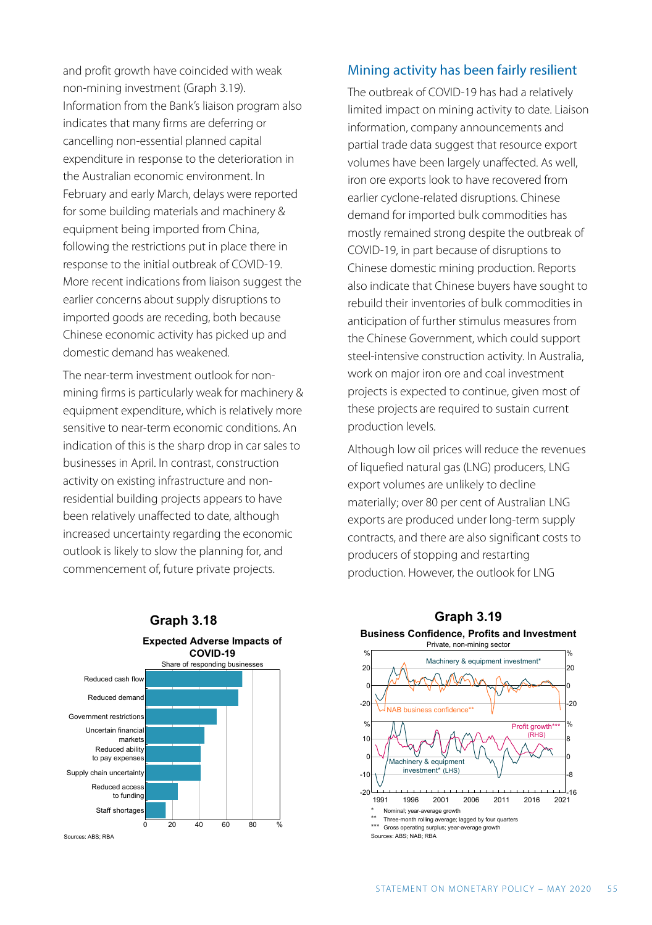and profit growth have coincided with weak non-mining investment (Graph 3.19). Information from the Bank's liaison program also indicates that many firms are deferring or cancelling non-essential planned capital expenditure in response to the deterioration in the Australian economic environment. In February and early March, delays were reported for some building materials and machinery & equipment being imported from China, following the restrictions put in place there in response to the initial outbreak of COVID-19. More recent indications from liaison suggest the earlier concerns about supply disruptions to imported goods are receding, both because Chinese economic activity has picked up and domestic demand has weakened.

The near-term investment outlook for nonmining firms is particularly weak for machinery & equipment expenditure, which is relatively more sensitive to near-term economic conditions. An indication of this is the sharp drop in car sales to businesses in April. In contrast, construction activity on existing infrastructure and nonresidential building projects appears to have been relatively unaffected to date, although increased uncertainty regarding the economic outlook is likely to slow the planning for, and commencement of, future private projects.



The outbreak of COVID-19 has had a relatively limited impact on mining activity to date. Liaison information, company announcements and partial trade data suggest that resource export volumes have been largely unaffected. As well, iron ore exports look to have recovered from earlier cyclone-related disruptions. Chinese demand for imported bulk commodities has mostly remained strong despite the outbreak of COVID-19, in part because of disruptions to Chinese domestic mining production. Reports also indicate that Chinese buyers have sought to rebuild their inventories of bulk commodities in anticipation of further stimulus measures from the Chinese Government, which could support steel-intensive construction activity. In Australia, work on major iron ore and coal investment projects is expected to continue, given most of these projects are required to sustain current production levels.

Although low oil prices will reduce the revenues of liquefied natural gas (LNG) producers, LNG export volumes are unlikely to decline materially; over 80 per cent of Australian LNG exports are produced under long-term supply contracts, and there are also significant costs to producers of stopping and restarting production. However, the outlook for LNG



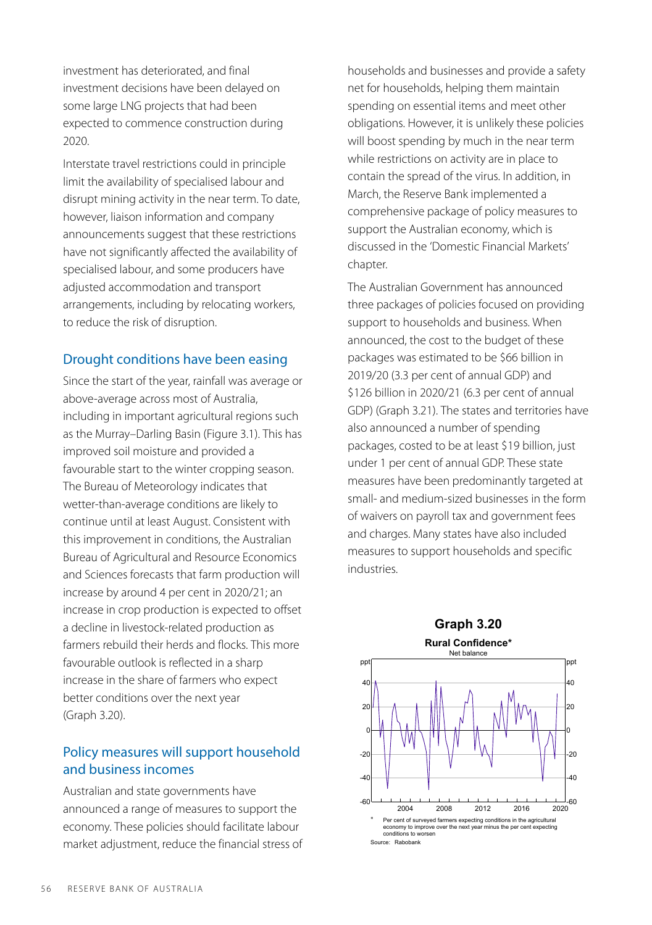investment has deteriorated, and final investment decisions have been delayed on some large LNG projects that had been expected to commence construction during 2020.

Interstate travel restrictions could in principle limit the availability of specialised labour and disrupt mining activity in the near term. To date, however, liaison information and company announcements suggest that these restrictions have not significantly affected the availability of specialised labour, and some producers have adjusted accommodation and transport arrangements, including by relocating workers, to reduce the risk of disruption.

#### Drought conditions have been easing

Since the start of the year, rainfall was average or above-average across most of Australia, including in important agricultural regions such as the Murray–Darling Basin (Figure 3.1). This has improved soil moisture and provided a favourable start to the winter cropping season. The Bureau of Meteorology indicates that wetter-than-average conditions are likely to continue until at least August. Consistent with this improvement in conditions, the Australian Bureau of Agricultural and Resource Economics and Sciences forecasts that farm production will increase by around 4 per cent in 2020/21; an increase in crop production is expected to offset a decline in livestock-related production as farmers rebuild their herds and flocks. This more favourable outlook is reflected in a sharp increase in the share of farmers who expect better conditions over the next year (Graph 3.20).

## Policy measures will support household and business incomes

Australian and state governments have announced a range of measures to support the economy. These policies should facilitate labour market adjustment, reduce the financial stress of households and businesses and provide a safety net for households, helping them maintain spending on essential items and meet other obligations. However, it is unlikely these policies will boost spending by much in the near term while restrictions on activity are in place to contain the spread of the virus. In addition, in March, the Reserve Bank implemented a comprehensive package of policy measures to support the Australian economy, which is discussed in the 'Domestic Financial Markets' chapter.

The Australian Government has announced three packages of policies focused on providing support to households and business. When announced, the cost to the budget of these packages was estimated to be \$66 billion in 2019/20 (3.3 per cent of annual GDP) and \$126 billion in 2020/21 (6.3 per cent of annual GDP) (Graph 3.21). The states and territories have also announced a number of spending packages, costed to be at least \$19 billion, just under 1 per cent of annual GDP. These state measures have been predominantly targeted at small- and medium-sized businesses in the form of waivers on payroll tax and government fees and charges. Many states have also included measures to support households and specific industries.

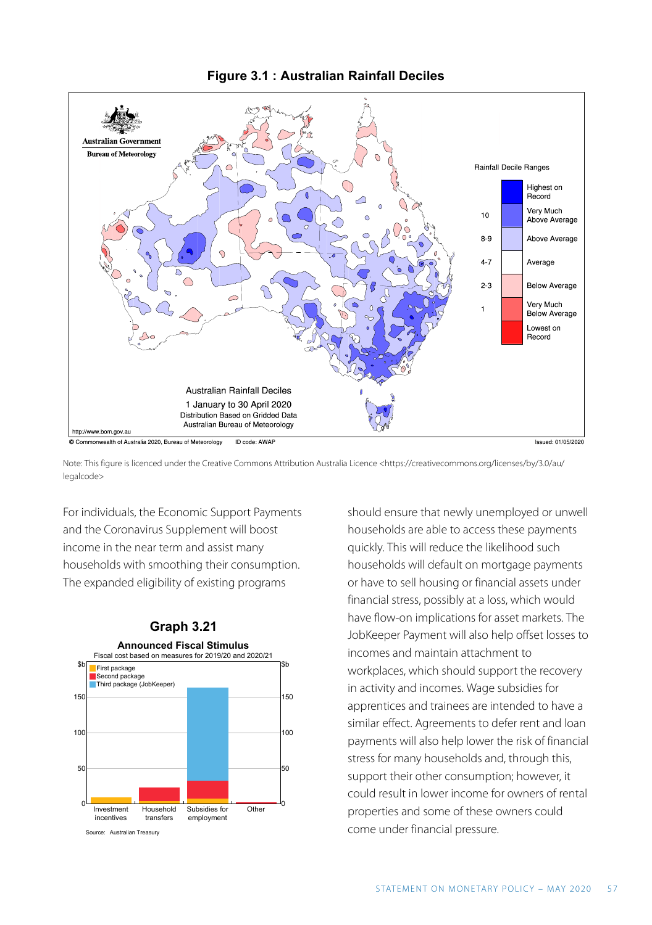

Note: This figure is licenced under the Creative Commons Attribution Australia Licence [<https://creativecommons.org/licenses/by/3.0/au/](https://creativecommons.org/licenses/by/3.0/au/legalcode) [legalcode>](https://creativecommons.org/licenses/by/3.0/au/legalcode)

For individuals, the Economic Support Payments and the Coronavirus Supplement will boost income in the near term and assist many households with smoothing their consumption. The expanded eligibility of existing programs



#### **Figure 3.1 : Australian Rainfall Deciles**

should ensure that newly unemployed or unwell households are able to access these payments quickly. This will reduce the likelihood such households will default on mortgage payments or have to sell housing or financial assets under financial stress, possibly at a loss, which would have flow-on implications for asset markets. The JobKeeper Payment will also help offset losses to incomes and maintain attachment to workplaces, which should support the recovery in activity and incomes. Wage subsidies for apprentices and trainees are intended to have a similar effect. Agreements to defer rent and loan payments will also help lower the risk of financial stress for many households and, through this, support their other consumption; however, it could result in lower income for owners of rental properties and some of these owners could come under financial pressure.